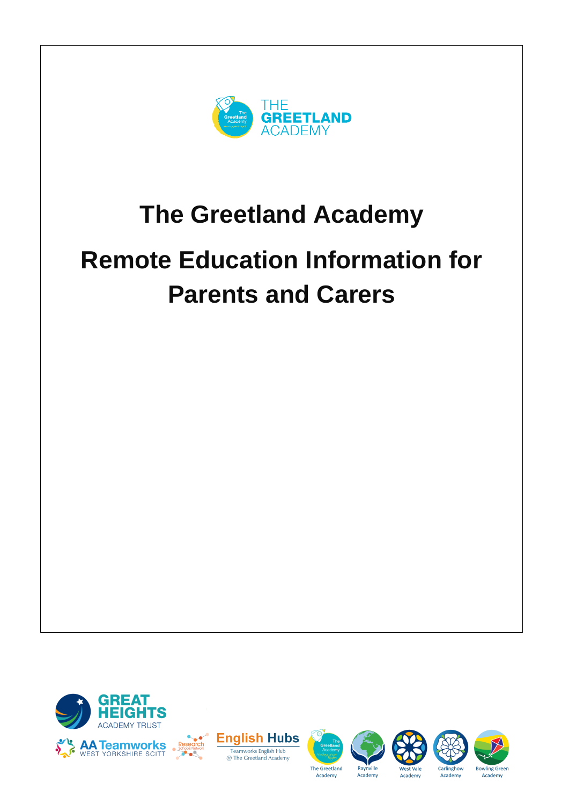

## **The Greetland Academy**

# **Remote Education Information for Parents and Carers**







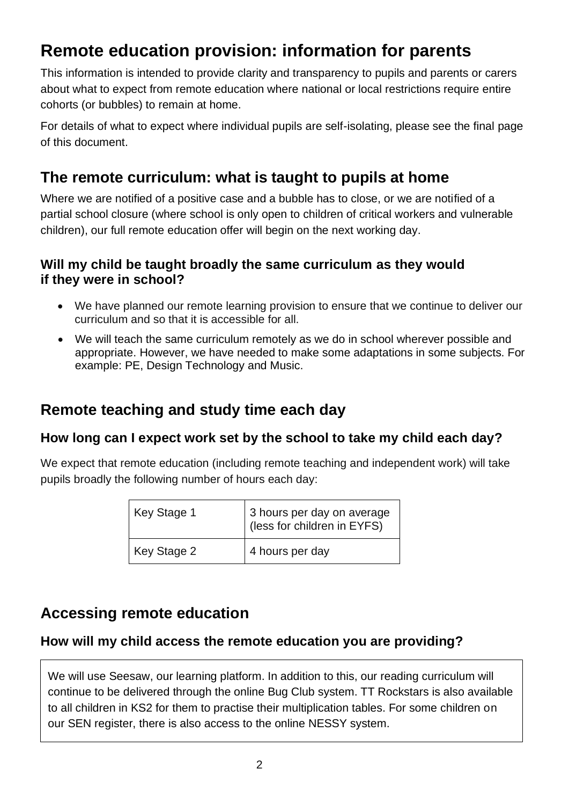## **Remote education provision: information for parents**

This information is intended to provide clarity and transparency to pupils and parents or carers about what to expect from remote education where national or local restrictions require entire cohorts (or bubbles) to remain at home.

For details of what to expect where individual pupils are self-isolating, please see the final page of this document.

## **The remote curriculum: what is taught to pupils at home**

Where we are notified of a positive case and a bubble has to close, or we are notified of a partial school closure (where school is only open to children of critical workers and vulnerable children), our full remote education offer will begin on the next working day.

#### **Will my child be taught broadly the same curriculum as they would if they were in school?**

- We have planned our remote learning provision to ensure that we continue to deliver our curriculum and so that it is accessible for all.
- We will teach the same curriculum remotely as we do in school wherever possible and appropriate. However, we have needed to make some adaptations in some subjects. For example: PE, Design Technology and Music.

### **Remote teaching and study time each day**

#### **How long can I expect work set by the school to take my child each day?**

We expect that remote education (including remote teaching and independent work) will take pupils broadly the following number of hours each day:

| Key Stage 1 | 3 hours per day on average<br>(less for children in EYFS) |
|-------------|-----------------------------------------------------------|
| Key Stage 2 | 4 hours per day                                           |

### **Accessing remote education**

#### **How will my child access the remote education you are providing?**

We will use Seesaw, our learning platform. In addition to this, our reading curriculum will continue to be delivered through the online Bug Club system. TT Rockstars is also available to all children in KS2 for them to practise their multiplication tables. For some children on our SEN register, there is also access to the online NESSY system.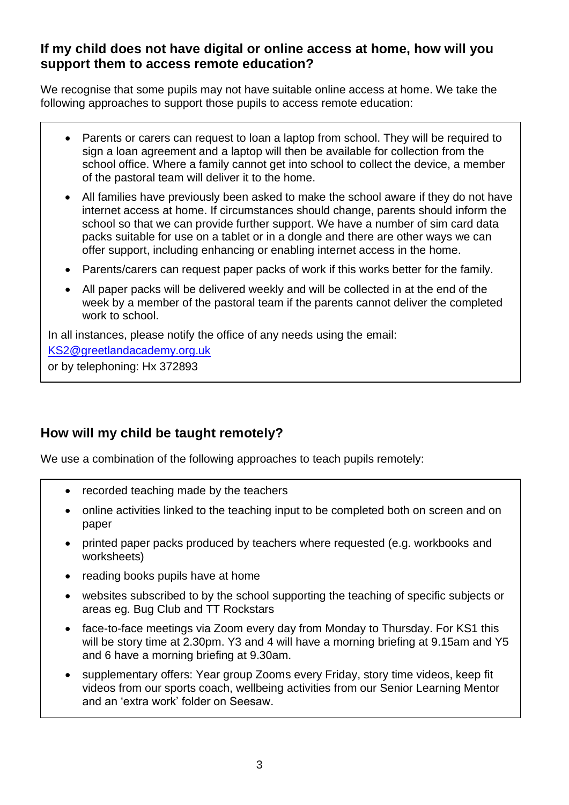#### **If my child does not have digital or online access at home, how will you support them to access remote education?**

We recognise that some pupils may not have suitable online access at home. We take the following approaches to support those pupils to access remote education:

- Parents or carers can request to loan a laptop from school. They will be required to sign a loan agreement and a laptop will then be available for collection from the school office. Where a family cannot get into school to collect the device, a member of the pastoral team will deliver it to the home.
- All families have previously been asked to make the school aware if they do not have internet access at home. If circumstances should change, parents should inform the school so that we can provide further support. We have a number of sim card data packs suitable for use on a tablet or in a dongle and there are other ways we can offer support, including enhancing or enabling internet access in the home.
- Parents/carers can request paper packs of work if this works better for the family.
- All paper packs will be delivered weekly and will be collected in at the end of the week by a member of the pastoral team if the parents cannot deliver the completed work to school.

In all instances, please notify the office of any needs using the email:

[KS2@greetlandacademy.org.uk](mailto:KS2@greetlandacademy.org.uk)

or by telephoning: Hx 372893

#### **How will my child be taught remotely?**

We use a combination of the following approaches to teach pupils remotely:

- recorded teaching made by the teachers
- online activities linked to the teaching input to be completed both on screen and on paper
- printed paper packs produced by teachers where requested (e.g. workbooks and worksheets)
- reading books pupils have at home
- websites subscribed to by the school supporting the teaching of specific subjects or areas eg. Bug Club and TT Rockstars
- face-to-face meetings via Zoom every day from Monday to Thursday. For KS1 this will be story time at 2.30pm. Y3 and 4 will have a morning briefing at 9.15am and Y5 and 6 have a morning briefing at 9.30am.
- supplementary offers: Year group Zooms every Friday, story time videos, keep fit videos from our sports coach, wellbeing activities from our Senior Learning Mentor and an 'extra work' folder on Seesaw.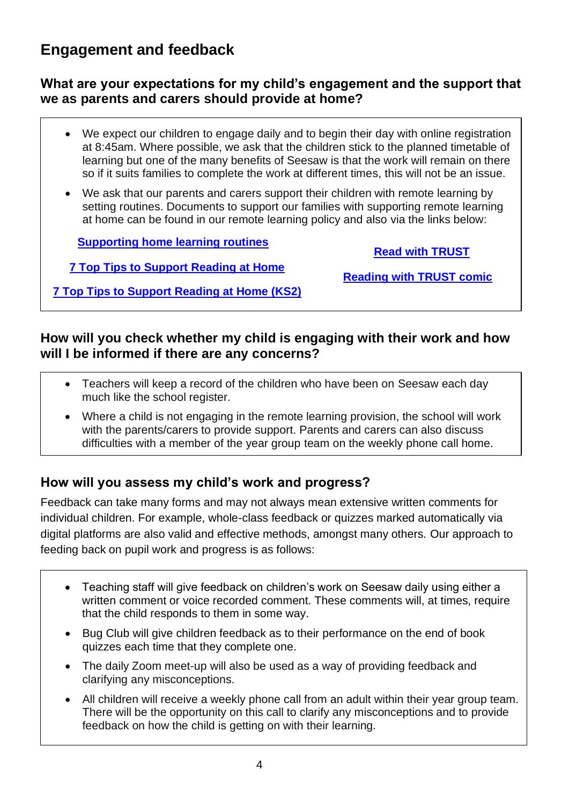## **Engagement and feedback**

#### **What are your expectations for my child's engagement and the support that we as parents and carers should provide at home?**

- We expect our children to engage daily and to begin their day with online registration at 8:45am. Where possible, we ask that the children stick to the planned timetable of learning but one of the many benefits of Seesaw is that the work will remain on there so if it suits families to complete the work at different times, this will not be an issue.
- We ask that our parents and carers support their children with remote learning by setting routines. Documents to support our families with supporting remote learning at home can be found in our remote learning policy and also via the links below:

**[Supporting home learning routines](https://educationendowmentfoundation.org.uk/public/files/Publications/Covid-19_Resources/Resources_for_parents/Supporting_home_learning_routines_-_Planning_the_day.pdf)**

**[Read with TRUST](https://educationendowmentfoundation.org.uk/public/files/Publications/Covid-19_Resources/Read_with_TRUST_infographic_(1).pdf)**

**[7 Top Tips to Support Reading at Home](https://educationendowmentfoundation.org.uk/public/files/Publications/Covid-19_Resources/Resources_for_schools/7_Top_Tips_to_Support_Reading_at_Home.pdf)**

**[Reading with TRUST comic](https://educationendowmentfoundation.org.uk/public/files/Publications/Covid-19_Resources/Resources_for_schools/Reading_with_TRUST_comic.pdf)**

**[7 Top Tips to Support Reading at Home \(KS2\)](https://educationendowmentfoundation.org.uk/public/files/Publications/Covid-19_Resources/Resources_for_schools/7_top_tips_to_support_reading_at_home_–_for_Key_Stage_2.pdf)**

#### **How will you check whether my child is engaging with their work and how will I be informed if there are any concerns?**

- Teachers will keep a record of the children who have been on Seesaw each day much like the school register.
- Where a child is not engaging in the remote learning provision, the school will work with the parents/carers to provide support. Parents and carers can also discuss difficulties with a member of the year group team on the weekly phone call home.

#### **How will you assess my child's work and progress?**

Feedback can take many forms and may not always mean extensive written comments for individual children. For example, whole-class feedback or quizzes marked automatically via digital platforms are also valid and effective methods, amongst many others. Our approach to feeding back on pupil work and progress is as follows:

- Teaching staff will give feedback on children's work on Seesaw daily using either a written comment or voice recorded comment. These comments will, at times, require that the child responds to them in some way.
- Bug Club will give children feedback as to their performance on the end of book quizzes each time that they complete one.
- The daily Zoom meet-up will also be used as a way of providing feedback and clarifying any misconceptions.
- All children will receive a weekly phone call from an adult within their year group team. There will be the opportunity on this call to clarify any misconceptions and to provide feedback on how the child is getting on with their learning.